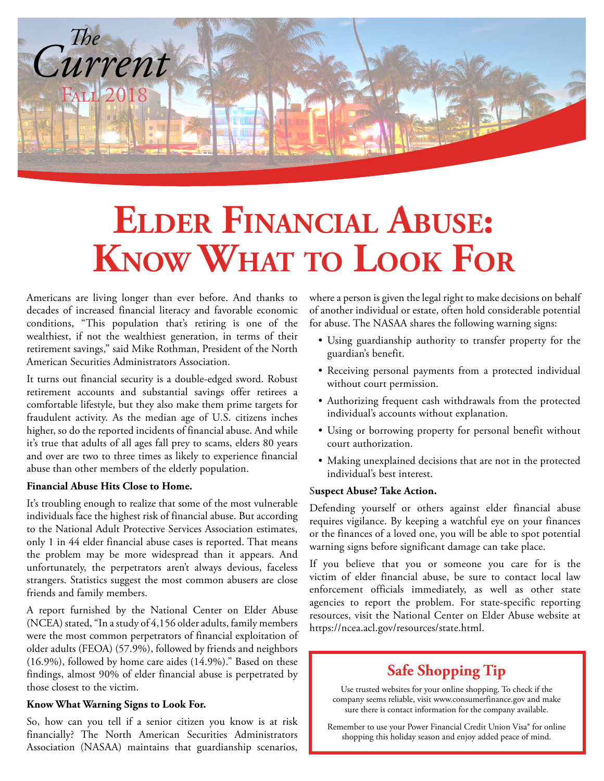

## **EldEr Financial abusE: Know what to looK For**

conditions, "This population that's retiring is one of the for abuse. The NASAA shares the following warning signs: wealthiest, if not the wealthiest generation, in terms of their <br>retirement savings," said Mike Rothman, President of the North<br>American Securities Administrators Association.<br>• Receiving personal payments from a protected

It turns out financial security is a double-edged sword. Robust without court permission.<br>
The center of the protected security is a double-edged sword. Robust without court permission.<br>
Authorizing frequent cash withdrawa comfortable lifestyle, but they also make them prime targets for<br>fraudulent activity. As the median age of U.S. citizens inches<br>individual's accounts without explanation. higher, so do the reported incidents of financial abuse. And while • Using or borrowing property for personal benefit without it's true that adults of all ages fall prey to scams, elders 80 years court authorization. and over are two to three times as likely to experience financial • Making unexplained decisions that are not in the protected abuse than other members of the elderly population.

#### Financial Abuse Hits Close to Home.<br>Suspect Abuse? Take Action.

It's troubling enough to realize that some of the most vulnerable<br>individuals face the highest risk of financial abuse. But according<br>individuals route the highest risk of financial abuse. But according<br>to the National Adu

older adults (FEOA) (57.9%), followed by friends and neighbors (16.9%), followed by home care aides (14.9%)." Based on these findings, almost 90% of elder financial abuse is perpetrated by those closest to the victim.

#### **Know What Warning Signs to Look For.**

So, how can you tell if a senior citizen you know is at risk financially? The North American Securities Administrators Association (NASAA) maintains that guardianship scenarios,

Americans are living longer than ever before. And thanks to where a person is given the legal right to make decisions on behalf decades of increased financial literacy and favorable economic of another individual or estate of another individual or estate, often hold considerable potential

- 
- 
- 
- 
- 

### **Safe Shopping Tip**

Use trusted websites for your online shopping. To check if the company seems reliable, visit www.consumerfinance.gov and make sure there is contact information for the company available.

[Remember to use your Power Financial Credit Union Visa® for online](https://www.powerfi.org/personal-accounts/personal-loans/visa-benefits/)  shopping this holiday season and enjoy added peace of mind.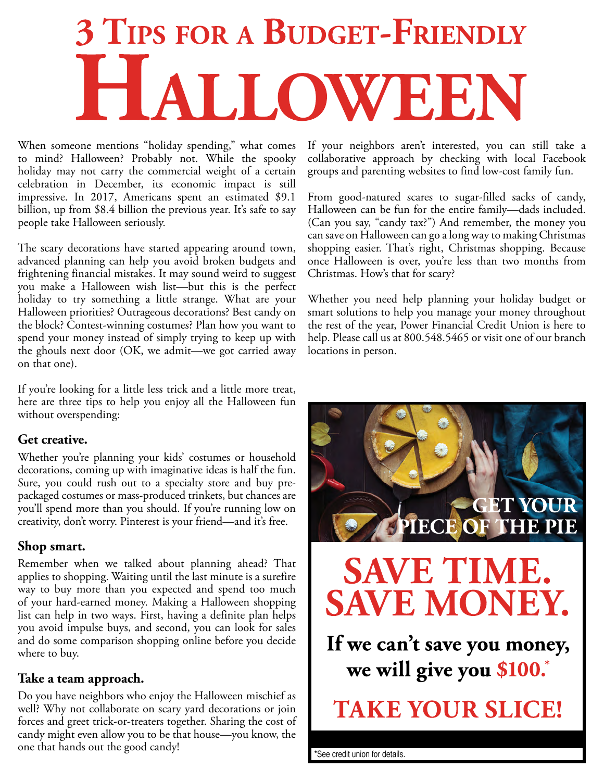# **3 TIPS FOR A BUDGET-FRIENDLY** HALLOWEEN

When someone mentions "holiday spending," what comes If your neighbors aren't interested, you can still take a holiday may not carry the commercial weight of a certain celebration in December, its economic impact is still billion, up from \$8.4 billion the previous year. It's safe to say people take Halloween seriously. (Can you say, "candy tax?") And remember, the money you

The scary decorations have started appearing around town, shopping easier. That's right, Christmas shopping. Because advanced planning can help you avoid broken budgets and once Halloween is over, you're less than two months from frightening financial mistakes. It may sound weird to suggest Christmas. How's that for scary? you make a Halloween wish list—but this is the perfect holiday to try something a little strange. What are your Whether you need help planning your holiday budget or Halloween priorities? Outrageous decorations? Best candy on smart solutions to help you manage your money throughout the block? Contest-winning costumes? Plan how you want to the rest of the year, Power Financial Credit Union is here to spend your money instead of simply trying to keep up with help. Please call us at 800.548.5465 or visit one of our branch the ghouls next door (OK, we admit—we got carried away locations in person. on that one).

If you're looking for a little less trick and a little more treat, here are three tips to help you enjoy all the Halloween fun without overspending:

#### **Get creative.**

Whether you're planning your kids' costumes or household decorations, coming up with imaginative ideas is half the fun. Sure, you could rush out to a specialty store and buy prepackaged costumes or mass-produced trinkets, but chances are you'll spend more than you should. If you're running low on creativity, don't worry. Pinterest is your friend—and it's free.

#### **Shop smart.**

Remember when we talked about planning ahead? That applies to shopping. Waiting until the last minute is a surefire way to buy more than you expected and spend too much of your hard-earned money. Making a Halloween shopping list can help in two ways. First, having a definite plan helps you avoid impulse buys, and second, you can look for sales and do some comparison shopping online before you decide where to buy.

#### **Take a team approach.**

Do you have neighbors who enjoy the Halloween mischief as well? Why not collaborate on scary yard decorations or join forces and greet trick-or-treaters together. Sharing the cost of candy might even allow you to be that house—you know, the one that hands out the good candy!

collaborative approach by checking with local Facebook<br>groups and parenting websites to find low-cost family fun.

From good-natured scares to sugar-filled sacks of candy,<br>Halloween can be fun for the entire family—dads included. can save on Halloween can go a long way to making Christmas



[\\*See credit union for details.](http://powersavenow.com/)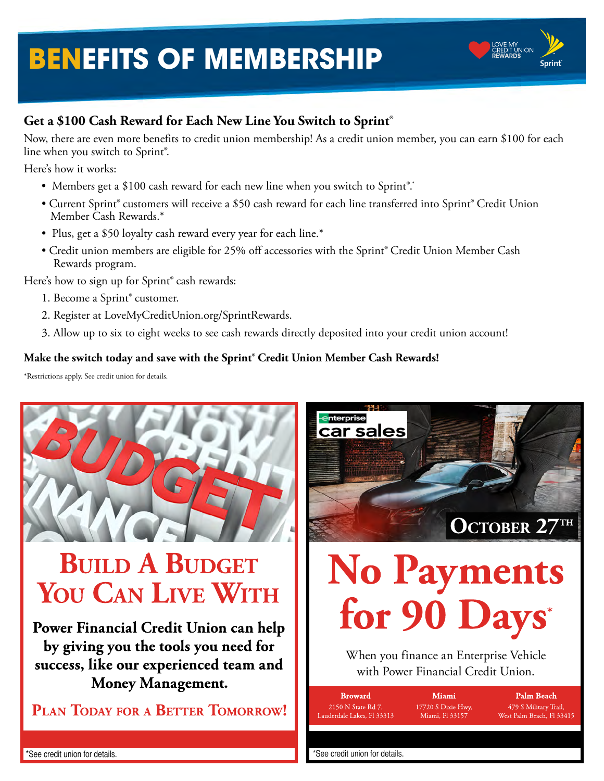## **[BENEFITS OF MEMBERSHIP](http://LoveMyCreditUnion.org/SprintRewards)**



#### **Get a \$100 Cash Reward for Each New Line You Switch to Sprint**®

Now, there are even more benefits to credit union membership! As a credit union member, you can earn \$100 for each line when you switch to Sprint®.

Here's how it works:

- Members get a \$100 cash reward for each new line when you switch to Sprint®.\*
- Current Sprint® customers will receive a \$50 cash reward for each line transferred into Sprint® Credit Union Member Cash Rewards.\*
- Plus, get a \$50 loyalty cash reward every year for each line.\*
- Credit union members are eligible for 25% off accessories with the Sprint® Credit Union Member Cash Rewards program.

Here's how to sign up for Sprint® cash rewards:

- 1. Become a Sprint® customer.
- 2. Register at LoveMyCreditUnion.org/SprintRewards.
- 3. Allow up to six to eight weeks to see cash rewards directly deposited into your credit union account!

#### **Make the switch today and save with the Sprint**® **Credit Union Member Cash Rewards!**

\*Restrictions apply. See credit union for details.



## **BUILD A BUDGET** YOU CAN LIVE WITH

Power Financial Credit Union can help by giving you the tools you need for success, like our experienced team and **Money Management.** 

PLAN TODAY FOR A BETTER TOMORROW!